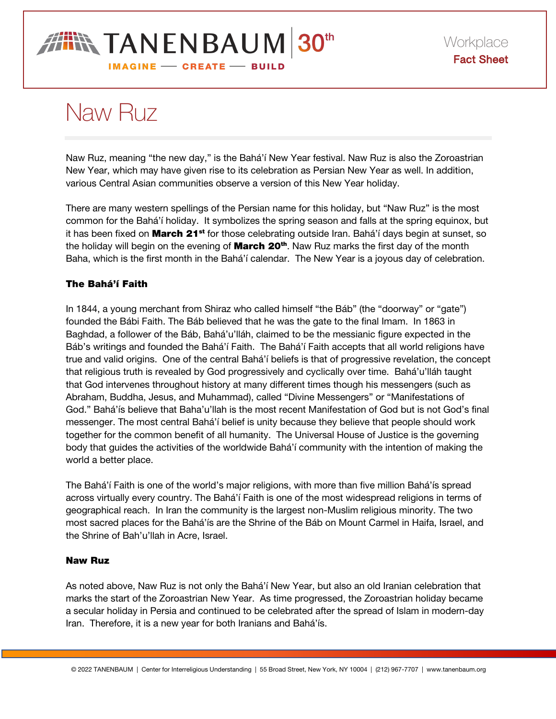## **IIN TANENBAUM 30th IMAGINE - CREATE - BUILD**

# Naw Ruz

Naw Ruz, meaning "the new day," is the Bahá'í New Year festival. Naw Ruz is also the Zoroastrian New Year, which may have given rise to its celebration as Persian New Year as well. In addition, various Central Asian communities observe a version of this New Year holiday.

There are many western spellings of the Persian name for this holiday, but "Naw Ruz" is the most common for the Bahá'í holiday. It symbolizes the spring season and falls at the spring equinox, but it has been fixed on **March 21<sup>st</sup>** for those celebrating outside Iran. Bahá'í days begin at sunset, so the holiday will begin on the evening of **March 20<sup>th</sup>**. Naw Ruz marks the first day of the month Baha, which is the first month in the Bahá'í calendar. The New Year is a joyous day of celebration.

### The Bahá'í Faith

In 1844, a young merchant from Shiraz who called himself "the Báb" (the "doorway" or "gate") founded the Bábi Faith. The Báb believed that he was the gate to the final Imam. In 1863 in Baghdad, a follower of the Báb, Bahá'u'lláh, claimed to be the messianic figure expected in the Báb's writings and founded the Bahá'í Faith. The Bahá'í Faith accepts that all world religions have true and valid origins. One of the central Bahá'í beliefs is that of progressive revelation, the concept that religious truth is revealed by God progressively and cyclically over time. Bahá'u'lláh taught that God intervenes throughout history at many different times though his messengers (such as Abraham, Buddha, Jesus, and Muhammad), called "Divine Messengers" or "Manifestations of God." Bahá'ís believe that Baha'u'llah is the most recent Manifestation of God but is not God's final messenger. The most central Bahá'í belief is unity because they believe that people should work together for the common benefit of all humanity. The Universal House of Justice is the governing body that guides the activities of the worldwide Bahá'í community with the intention of making the world a better place.

The Bahá'í Faith is one of the world's major religions, with more than five million Bahá'ís spread across virtually every country. The Bahá'í Faith is one of the most widespread religions in terms of geographical reach. In Iran the community is the largest non-Muslim religious minority. The two most sacred places for the Bahá'ís are the Shrine of the Báb on Mount Carmel in Haifa, Israel, and the Shrine of Bah'u'llah in Acre, Israel.

#### Naw Ruz

As noted above, Naw Ruz is not only the Bahá'í New Year, but also an old Iranian celebration that marks the start of the Zoroastrian New Year. As time progressed, the Zoroastrian holiday became a secular holiday in Persia and continued to be celebrated after the spread of Islam in modern-day Iran. Therefore, it is a new year for both Iranians and Bahá'ís.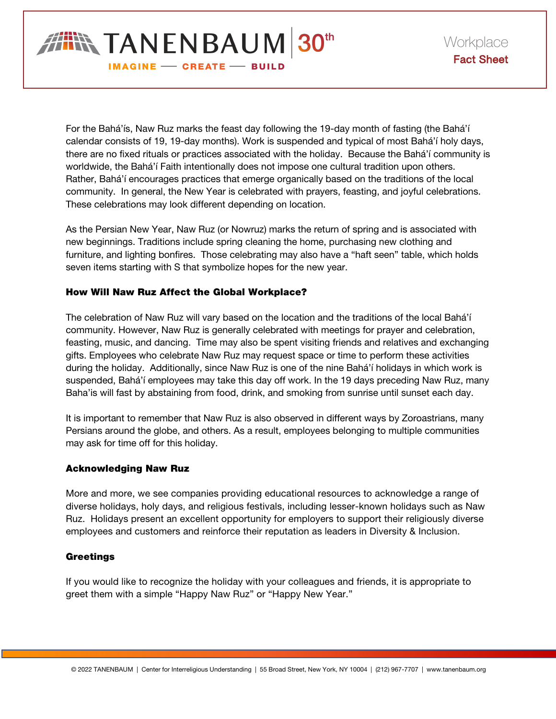

For the Bahá'ís, Naw Ruz marks the feast day following the 19-day month of fasting (the Bahá'í calendar consists of 19, 19-day months). Work is suspended and typical of most Bahá'í holy days, there are no fixed rituals or practices associated with the holiday. Because the Bahá'í community is worldwide, the Bahá'í Faith intentionally does not impose one cultural tradition upon others. Rather, Bahá'í encourages practices that emerge organically based on the traditions of the local community. In general, the New Year is celebrated with prayers, feasting, and joyful celebrations. These celebrations may look different depending on location.

As the Persian New Year, Naw Ruz (or Nowruz) marks the return of spring and is associated with new beginnings. Traditions include spring cleaning the home, purchasing new clothing and furniture, and lighting bonfires. Those celebrating may also have a "haft seen" table, which holds seven items starting with S that symbolize hopes for the new year.

#### How Will Naw Ruz Affect the Global Workplace?

The celebration of Naw Ruz will vary based on the location and the traditions of the local Bahá'í community. However, Naw Ruz is generally celebrated with meetings for prayer and celebration, feasting, music, and dancing. Time may also be spent visiting friends and relatives and exchanging gifts. Employees who celebrate Naw Ruz may request space or time to perform these activities during the holiday. Additionally, since Naw Ruz is one of the nine Bahá'í holidays in which work is suspended, Bahá'í employees may take this day off work. In the 19 days preceding Naw Ruz, many Baha'is will fast by abstaining from food, drink, and smoking from sunrise until sunset each day.

It is important to remember that Naw Ruz is also observed in different ways by Zoroastrians, many Persians around the globe, and others. As a result, employees belonging to multiple communities may ask for time off for this holiday.

#### Acknowledging Naw Ruz

More and more, we see companies providing educational resources to acknowledge a range of diverse holidays, holy days, and religious festivals, including lesser-known holidays such as Naw Ruz. Holidays present an excellent opportunity for employers to support their religiously diverse employees and customers and reinforce their reputation as leaders in Diversity & Inclusion.

#### **Greetings**

If you would like to recognize the holiday with your colleagues and friends, it is appropriate to greet them with a simple "Happy Naw Ruz" or "Happy New Year."